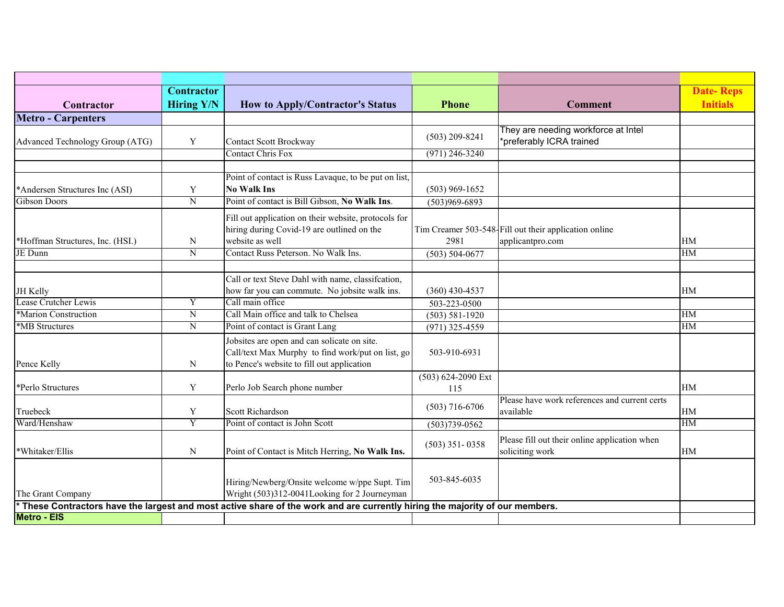|                                  | Contractor        |                                                                                                                              |                    |                                                       | <b>Date-Reps</b> |
|----------------------------------|-------------------|------------------------------------------------------------------------------------------------------------------------------|--------------------|-------------------------------------------------------|------------------|
| Contractor                       | <b>Hiring Y/N</b> | <b>How to Apply/Contractor's Status</b>                                                                                      | <b>Phone</b>       | <b>Comment</b>                                        | <b>Initials</b>  |
| <b>Metro - Carpenters</b>        |                   |                                                                                                                              |                    |                                                       |                  |
|                                  |                   |                                                                                                                              | $(503)$ 209-8241   | They are needing workforce at Intel                   |                  |
| Advanced Technology Group (ATG)  | Y                 | <b>Contact Scott Brockway</b>                                                                                                |                    | *preferably ICRA trained                              |                  |
|                                  |                   | <b>Contact Chris Fox</b>                                                                                                     | $(971)$ 246-3240   |                                                       |                  |
|                                  |                   |                                                                                                                              |                    |                                                       |                  |
|                                  |                   | Point of contact is Russ Lavaque, to be put on list,                                                                         |                    |                                                       |                  |
| *Andersen Structures Inc (ASI)   | Y                 | <b>No Walk Ins</b>                                                                                                           | $(503)$ 969-1652   |                                                       |                  |
| <b>Gibson Doors</b>              | $\overline{N}$    | Point of contact is Bill Gibson, No Walk Ins.                                                                                | $(503)969 - 6893$  |                                                       |                  |
|                                  |                   | Fill out application on their website, protocols for                                                                         |                    |                                                       |                  |
|                                  |                   | hiring during Covid-19 are outlined on the                                                                                   |                    | Tim Creamer 503-548 Fill out their application online |                  |
| *Hoffman Structures, Inc. (HSI.) | N                 | website as well                                                                                                              | 2981               | applicantpro.com                                      | <b>HM</b>        |
| JE Dunn                          | $\overline{N}$    | Contact Russ Peterson. No Walk Ins.                                                                                          | $(503) 504 - 0677$ |                                                       | HM               |
|                                  |                   |                                                                                                                              |                    |                                                       |                  |
|                                  |                   | Call or text Steve Dahl with name, classifcation,                                                                            |                    |                                                       |                  |
| JH Kelly                         |                   | how far you can commute. No jobsite walk ins.                                                                                | $(360)$ 430-4537   |                                                       | HM               |
| Lease Crutcher Lewis             | Y                 | Call main office                                                                                                             | 503-223-0500       |                                                       |                  |
| *Marion Construction             | $\overline{N}$    | Call Main office and talk to Chelsea                                                                                         | $(503) 581 - 1920$ |                                                       | <b>HM</b>        |
| *MB Structures                   | $\overline{N}$    | Point of contact is Grant Lang                                                                                               | $(971)$ 325-4559   |                                                       | <b>HM</b>        |
|                                  |                   | Jobsites are open and can solicate on site.                                                                                  |                    |                                                       |                  |
|                                  |                   | Call/text Max Murphy to find work/put on list, go                                                                            | 503-910-6931       |                                                       |                  |
| Pence Kelly                      | N                 | to Pence's website to fill out application                                                                                   |                    |                                                       |                  |
|                                  |                   |                                                                                                                              | (503) 624-2090 Ext |                                                       |                  |
| *Perlo Structures                | Y                 | Perlo Job Search phone number                                                                                                | 115                |                                                       | HM               |
|                                  |                   |                                                                                                                              |                    | Please have work references and current certs         |                  |
| Truebeck                         | $\mathbf Y$       | Scott Richardson                                                                                                             | $(503)$ 716-6706   | available                                             | HM               |
| Ward/Henshaw                     | $\overline{Y}$    | Point of contact is John Scott                                                                                               | $(503)739-0562$    |                                                       | <b>HM</b>        |
|                                  |                   |                                                                                                                              |                    | Please fill out their online application when         |                  |
| *Whitaker/Ellis                  | N                 | Point of Contact is Mitch Herring, No Walk Ins.                                                                              | $(503)$ 351-0358   | soliciting work                                       | HM               |
|                                  |                   |                                                                                                                              |                    |                                                       |                  |
|                                  |                   |                                                                                                                              |                    |                                                       |                  |
|                                  |                   | Hiring/Newberg/Onsite welcome w/ppe Supt. Tim                                                                                | 503-845-6035       |                                                       |                  |
| The Grant Company                |                   | Wright (503)312-0041Looking for 2 Journeyman                                                                                 |                    |                                                       |                  |
|                                  |                   | * These Contractors have the largest and most active share of the work and are currently hiring the majority of our members. |                    |                                                       |                  |
| <b>Metro - EIS</b>               |                   |                                                                                                                              |                    |                                                       |                  |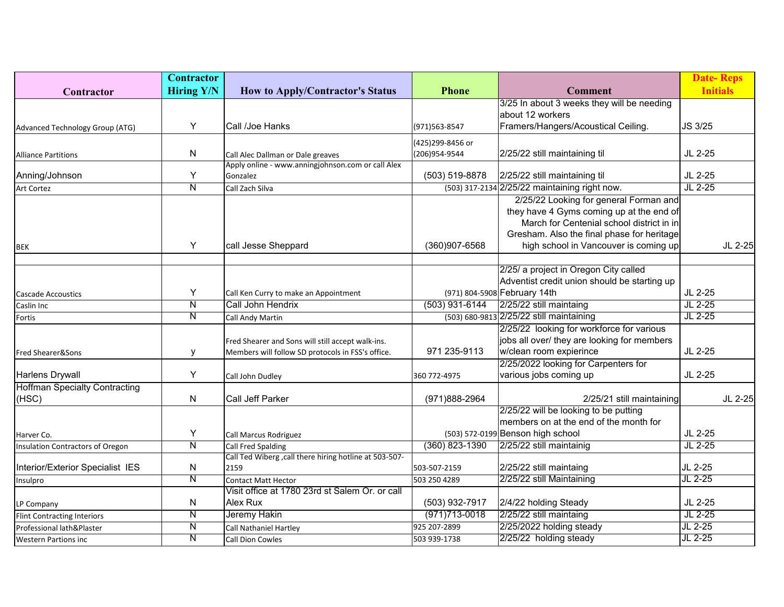|                                      | <b>Contractor</b>       |                                                        |                   |                                               | <b>Date-Reps</b> |         |
|--------------------------------------|-------------------------|--------------------------------------------------------|-------------------|-----------------------------------------------|------------------|---------|
| Contractor                           | <b>Hiring Y/N</b>       | <b>How to Apply/Contractor's Status</b>                | <b>Phone</b>      | <b>Comment</b>                                | <b>Initials</b>  |         |
|                                      |                         |                                                        |                   | 3/25 In about 3 weeks they will be needing    |                  |         |
|                                      |                         |                                                        |                   | about 12 workers                              |                  |         |
| Advanced Technology Group (ATG)      | Υ                       | Call /Joe Hanks                                        | (971) 563-8547    | Framers/Hangers/Acoustical Ceiling.           | JS 3/25          |         |
|                                      |                         |                                                        | (425)299-8456 or  |                                               |                  |         |
| <b>Alliance Partitions</b>           | N                       | Call Alec Dallman or Dale greaves                      | (206)954-9544     | 2/25/22 still maintaining til                 | JL 2-25          |         |
|                                      |                         | Apply online - www.anningjohnson.com or call Alex      |                   |                                               |                  |         |
| Anning/Johnson                       | Y                       | Gonzalez                                               | (503) 519-8878    | 2/25/22 still maintaining til                 | JL 2-25          |         |
| <b>Art Cortez</b>                    | N                       | Call Zach Silva                                        |                   | (503) 317-2134 2/25/22 maintaining right now. | $JL$ 2-25        |         |
|                                      |                         |                                                        |                   | 2/25/22 Looking for general Forman and        |                  |         |
|                                      |                         |                                                        |                   | they have 4 Gyms coming up at the end of      |                  |         |
|                                      |                         |                                                        |                   | March for Centenial school district in in     |                  |         |
|                                      |                         |                                                        |                   | Gresham. Also the final phase for heritage    |                  |         |
| <b>BEK</b>                           | Y                       | call Jesse Sheppard                                    | (360)907-6568     | high school in Vancouver is coming up         |                  | JL 2-25 |
|                                      |                         |                                                        |                   |                                               |                  |         |
|                                      |                         |                                                        |                   | 2/25/ a project in Oregon City called         |                  |         |
|                                      |                         |                                                        |                   | Adventist credit union should be starting up  |                  |         |
| <b>Cascade Accoustics</b>            | Υ                       | Call Ken Curry to make an Appointment                  |                   | (971) 804-5908 February 14th                  | JL 2-25          |         |
| Caslin Inc                           | Ν                       | Call John Hendrix                                      | $(503)$ 931-6144  | 2/25/22 still maintaing                       | JL 2-25          |         |
| Fortis                               | N                       | Call Andy Martin                                       |                   | (503) 680-9813 2/25/22 still maintaining      | JL 2-25          |         |
|                                      |                         |                                                        |                   | 2/25/22 looking for workforce for various     |                  |         |
|                                      |                         | Fred Shearer and Sons will still accept walk-ins.      |                   | jobs all over/ they are looking for members   |                  |         |
| Fred Shearer&Sons                    | У                       | Members will follow SD protocols in FSS's office.      | 971 235-9113      | w/clean room expierince                       | JL 2-25          |         |
|                                      |                         |                                                        |                   | 2/25/2022 looking for Carpenters for          |                  |         |
| <b>Harlens Drywall</b>               | Υ                       | Call John Dudley                                       | 360 772-4975      | various jobs coming up                        | JL 2-25          |         |
| <b>Hoffman Specialty Contracting</b> |                         |                                                        |                   |                                               |                  |         |
| (HSC)                                | N                       | Call Jeff Parker                                       | (971)888-2964     | 2/25/21 still maintaining                     |                  | JL 2-25 |
|                                      |                         |                                                        |                   | 2/25/22 will be looking to be putting         |                  |         |
|                                      |                         |                                                        |                   | members on at the end of the month for        |                  |         |
| Harver Co.                           | Υ                       | Call Marcus Rodriguez                                  |                   | (503) 572-0199 Benson high school             | JL 2-25          |         |
| Insulation Contractors of Oregon     | $\overline{\mathsf{N}}$ | <b>Call Fred Spalding</b>                              | $(360)$ 823-1390  | 2/25/22 still maintainig                      | $JL$ 2-25        |         |
|                                      |                         | Call Ted Wiberg, call there hiring hotline at 503-507- |                   |                                               |                  |         |
| Interior/Exterior Specialist IES     | N                       | 2159                                                   | 503-507-2159      | 2/25/22 still maintaing                       | JL 2-25          |         |
| Insulpro                             | N                       | Contact Matt Hector                                    | 503 250 4289      | 2/25/22 still Maintaining                     | JL 2-25          |         |
|                                      |                         | Visit office at 1780 23rd st Salem Or. or call         |                   |                                               |                  |         |
| LP Company                           | N                       | Alex Rux                                               | (503) 932-7917    | 2/4/22 holding Steady                         | JL 2-25          |         |
| <b>Flint Contracting Interiors</b>   | N                       | Jeremy Hakin                                           | $(971)713 - 0018$ | 2/25/22 still maintaing                       | $JL$ 2-25        |         |
| Professional lath&Plaster            | N                       | Call Nathaniel Hartley                                 | 925 207-2899      | 2/25/2022 holding steady                      | JL 2-25          |         |
| <b>Western Partions inc</b>          | N                       | Call Dion Cowles                                       | 503 939-1738      | 2/25/22 holding steady                        | $JL$ 2-25        |         |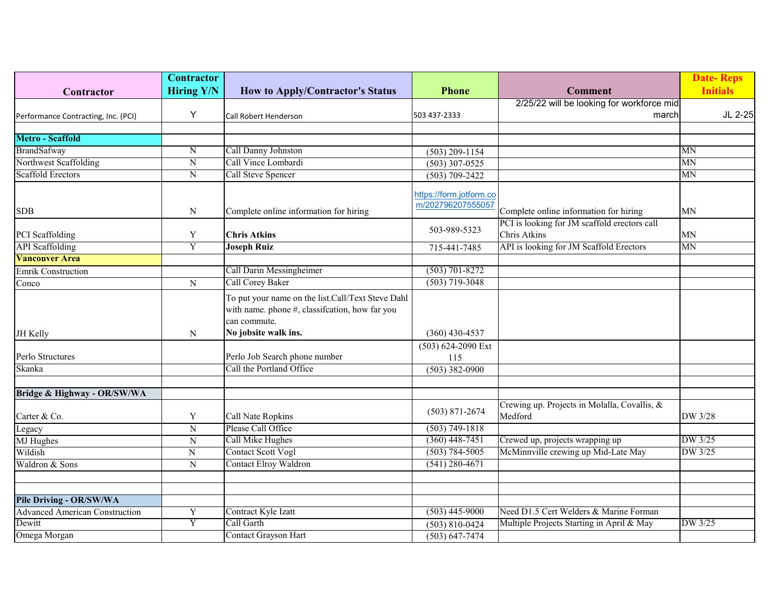|                                       | <b>Contractor</b>       |                                                   |                                              |                                              | <b>Date-Reps</b> |
|---------------------------------------|-------------------------|---------------------------------------------------|----------------------------------------------|----------------------------------------------|------------------|
| Contractor                            | <b>Hiring Y/N</b>       | <b>How to Apply/Contractor's Status</b>           | <b>Phone</b>                                 | <b>Comment</b>                               | <b>Initials</b>  |
|                                       |                         |                                                   |                                              | 2/25/22 will be looking for workforce mid    |                  |
| Performance Contracting, Inc. (PCI)   | Y                       | Call Robert Henderson                             | 503 437-2333                                 | march                                        | JL 2-25          |
|                                       |                         |                                                   |                                              |                                              |                  |
| <b>Metro - Scaffold</b>               |                         |                                                   |                                              |                                              |                  |
| BrandSafway                           | ${\bf N}$               | Call Danny Johnston                               | $(503)$ 209-1154                             |                                              | MN               |
| Northwest Scaffolding                 | Ñ                       | Call Vince Lombardi                               | $(503)$ 307-0525                             |                                              | MN               |
| <b>Scaffold Erectors</b>              | $\overline{N}$          | Call Steve Spencer                                | $(503) 709 - 2422$                           |                                              | MN               |
|                                       |                         |                                                   |                                              |                                              |                  |
|                                       |                         |                                                   | https://form.jotform.co<br>m/202796207555057 |                                              |                  |
| <b>SDB</b>                            | N                       | Complete online information for hiring            |                                              | Complete online information for hiring       | MN               |
|                                       |                         |                                                   |                                              | PCI is looking for JM scaffold erectors call |                  |
| PCI Scaffolding                       | Y                       | <b>Chris Atkins</b>                               | 503-989-5323                                 | Chris Atkins                                 | <b>MN</b>        |
| <b>API</b> Scaffolding                | Y                       | <b>Joseph Ruiz</b>                                | 715-441-7485                                 | API is looking for JM Scaffold Erectors      | MN               |
| <b>Vancouver Area</b>                 |                         |                                                   |                                              |                                              |                  |
| <b>Emrik Construction</b>             |                         | Call Darin Messingheimer                          | $(503) 701 - 8272$                           |                                              |                  |
| Conco                                 | ${\bf N}$               | Call Corey Baker                                  | $(503)$ 719-3048                             |                                              |                  |
|                                       |                         | To put your name on the list.Call/Text Steve Dahl |                                              |                                              |                  |
|                                       |                         | with name. phone #, classifcation, how far you    |                                              |                                              |                  |
|                                       |                         | can commute.                                      |                                              |                                              |                  |
| JH Kelly                              | N                       | No jobsite walk ins.                              | $(360)$ 430-4537                             |                                              |                  |
|                                       |                         |                                                   | (503) 624-2090 Ext                           |                                              |                  |
| Perlo Structures                      |                         | Perlo Job Search phone number                     | 115                                          |                                              |                  |
| Skanka                                |                         | Call the Portland Office                          | $(503)$ 382-0900                             |                                              |                  |
|                                       |                         |                                                   |                                              |                                              |                  |
| Bridge & Highway - OR/SW/WA           |                         |                                                   |                                              |                                              |                  |
|                                       |                         |                                                   |                                              | Crewing up. Projects in Molalla, Covallis, & |                  |
| Carter & Co.                          | Y                       | Call Nate Ropkins                                 | $(503)$ 871-2674                             | Medford                                      | DW 3/28          |
| Legacy                                | $\overline{\rm N}$      | Please Call Office                                | $(503) 749 - 1818$                           |                                              |                  |
| <b>MJ</b> Hughes                      | N                       | Call Mike Hughes                                  | $(360)$ 448-7451                             | Crewed up, projects wrapping up              | DW 3/25          |
| Wildish                               | ${\bf N}$               | Contact Scott Vogl                                | $(503) 784 - 5005$                           | McMinnville crewing up Mid-Late May          | DW 3/25          |
| Waldron & Sons                        | N                       | <b>Contact Elroy Waldron</b>                      | $(541)$ 280-4671                             |                                              |                  |
|                                       |                         |                                                   |                                              |                                              |                  |
|                                       |                         |                                                   |                                              |                                              |                  |
| <b>Pile Driving - OR/SW/WA</b>        |                         |                                                   |                                              |                                              |                  |
| <b>Advanced American Construction</b> | $\mathbf Y$             | Contract Kyle Izatt                               | $(503)$ 445-9000                             | Need D1.5 Cert Welders & Marine Forman       |                  |
| Dewitt                                | $\overline{\mathrm{Y}}$ | Call Garth                                        | $(503) 810 - 0424$                           | Multiple Projects Starting in April & May    | DW 3/25          |
| Omega Morgan                          |                         | Contact Grayson Hart                              | $(503) 647 - 7474$                           |                                              |                  |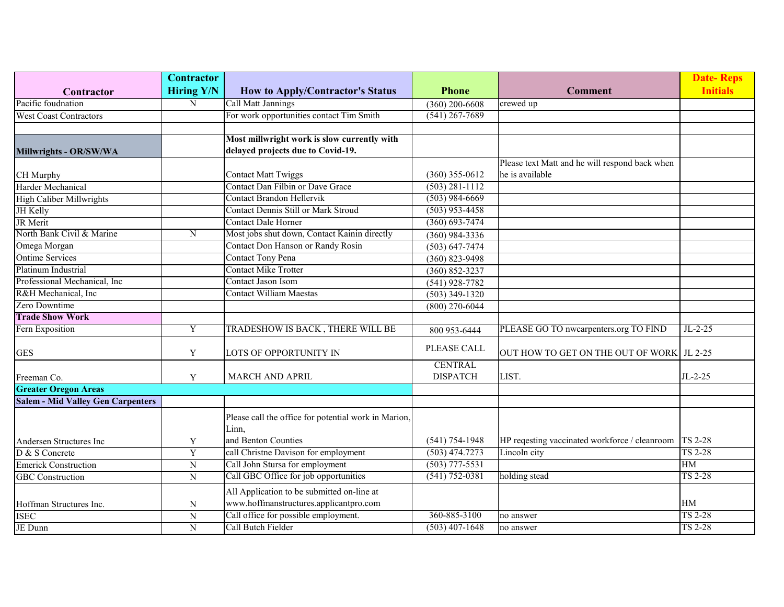|                                          | <b>Contractor</b>  |                                                                          |                                        |                                                                         | <b>Date-Reps</b> |
|------------------------------------------|--------------------|--------------------------------------------------------------------------|----------------------------------------|-------------------------------------------------------------------------|------------------|
| Contractor                               | <b>Hiring Y/N</b>  | <b>How to Apply/Contractor's Status</b>                                  | <b>Phone</b>                           | <b>Comment</b>                                                          | <b>Initials</b>  |
| Pacific foudnation                       | N                  | Call Matt Jannings                                                       | $(360)$ 200-6608                       | crewed up                                                               |                  |
| <b>West Coast Contractors</b>            |                    | For work opportunities contact Tim Smith                                 | $(541)$ 267-7689                       |                                                                         |                  |
|                                          |                    |                                                                          |                                        |                                                                         |                  |
|                                          |                    | Most millwright work is slow currently with                              |                                        |                                                                         |                  |
| Millwrights - OR/SW/WA                   |                    | delayed projects due to Covid-19.                                        |                                        |                                                                         |                  |
|                                          |                    |                                                                          |                                        | Please text Matt and he will respond back when                          |                  |
| CH Murphy                                |                    | <b>Contact Matt Twiggs</b>                                               | $(360)$ 355-0612                       | he is available                                                         |                  |
| Harder Mechanical                        |                    | Contact Dan Filbin or Dave Grace                                         | $(503) 281 - 1112$                     |                                                                         |                  |
| <b>High Caliber Millwrights</b>          |                    | <b>Contact Brandon Hellervik</b>                                         | $(503)$ 984-6669                       |                                                                         |                  |
| JH Kelly                                 |                    | Contact Dennis Still or Mark Stroud                                      | $(503)$ 953-4458                       |                                                                         |                  |
| JR Merit                                 |                    | <b>Contact Dale Horner</b>                                               | $(360) 693 - 7474$                     |                                                                         |                  |
| North Bank Civil & Marine                | N                  | Most jobs shut down, Contact Kainin directly                             | $(360)$ 984-3336                       |                                                                         |                  |
| Omega Morgan                             |                    | Contact Don Hanson or Randy Rosin                                        | $(503) 647 - 7474$                     |                                                                         |                  |
| <b>Ontime Services</b>                   |                    | Contact Tony Pena                                                        | $(360) 823 - 9498$                     |                                                                         |                  |
| Platinum Industrial                      |                    | <b>Contact Mike Trotter</b>                                              | $(360) 852 - 3237$                     |                                                                         |                  |
| Professional Mechanical, Inc             |                    | Contact Jason Isom                                                       | $(541)$ 928-7782                       |                                                                         |                  |
| R&H Mechanical, Inc                      |                    | <b>Contact William Maestas</b>                                           | $(503)$ 349-1320                       |                                                                         |                  |
| Zero Downtime                            |                    |                                                                          | $(800)$ 270-6044                       |                                                                         |                  |
| <b>Trade Show Work</b>                   |                    |                                                                          |                                        |                                                                         |                  |
| Fern Exposition                          | Y                  | TRADESHOW IS BACK, THERE WILL BE                                         | 800 953-6444                           | PLEASE GO TO nwcarpenters.org TO FIND                                   | $JL-2-25$        |
| <b>GES</b>                               | Y                  | LOTS OF OPPORTUNITY IN                                                   | PLEASE CALL                            | OUT HOW TO GET ON THE OUT OF WORK   JL 2-25                             |                  |
|                                          |                    |                                                                          | <b>CENTRAL</b>                         |                                                                         |                  |
| Freeman Co.                              | Y                  | <b>MARCH AND APRIL</b>                                                   | <b>DISPATCH</b>                        | LIST.                                                                   | $JL-2-25$        |
| <b>Greater Oregon Areas</b>              |                    |                                                                          |                                        |                                                                         |                  |
| <b>Salem - Mid Valley Gen Carpenters</b> |                    |                                                                          |                                        |                                                                         |                  |
|                                          |                    | Please call the office for potential work in Marion,                     |                                        |                                                                         |                  |
|                                          |                    | Linn,<br>and Benton Counties                                             |                                        |                                                                         |                  |
| Andersen Structures Inc                  | Y                  | call Christne Davison for employment                                     | $(541) 754 - 1948$<br>$(503)$ 474.7273 | HP reqesting vaccinated workforce / cleanroom   TS 2-28<br>Lincoln city | <b>TS 2-28</b>   |
| D & S Concrete                           | $\mathbf Y$        |                                                                          | $(503)$ 777-5531                       |                                                                         | <b>HM</b>        |
| <b>Emerick Construction</b>              | ${\bf N}$          | Call John Stursa for employment<br>Call GBC Office for job opportunities | $(541) 752 - 0381$                     |                                                                         | <b>TS 2-28</b>   |
| <b>GBC</b> Construction                  | ${\bf N}$          |                                                                          |                                        | holding stead                                                           |                  |
|                                          |                    | All Application to be submitted on-line at                               |                                        |                                                                         |                  |
| Hoffman Structures Inc.                  | N                  | www.hoffmanstructures.applicantpro.com                                   |                                        |                                                                         | HМ               |
| <b>ISEC</b>                              | $\overline{\rm N}$ | Call office for possible employment.                                     | 360-885-3100                           | no answer                                                               | <b>TS 2-28</b>   |
| JE Dunn                                  | $\mathbf N$        | Call Butch Fielder                                                       | $(503)$ 407-1648                       | no answer                                                               | <b>TS 2-28</b>   |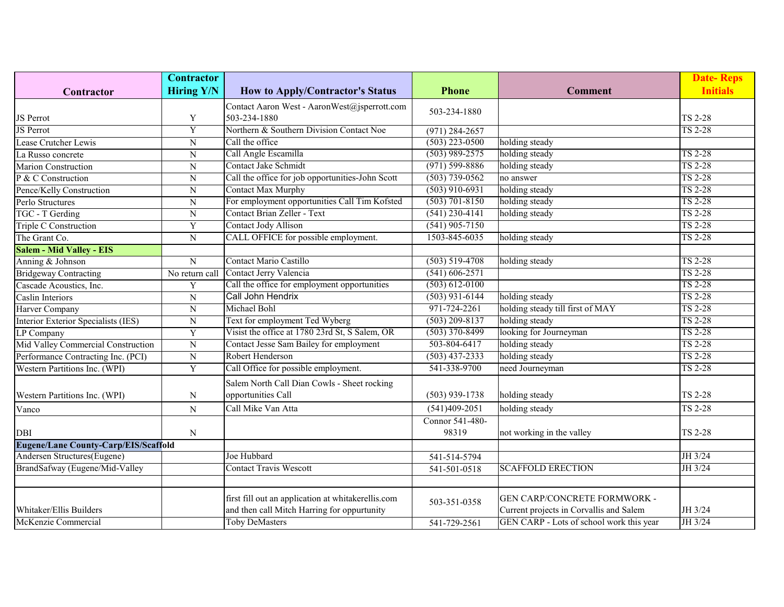|                                             | <b>Contractor</b>       |                                                    |                    |                                          | <b>Date-Reps</b> |
|---------------------------------------------|-------------------------|----------------------------------------------------|--------------------|------------------------------------------|------------------|
| Contractor                                  | <b>Hiring Y/N</b>       | <b>How to Apply/Contractor's Status</b>            | <b>Phone</b>       | <b>Comment</b>                           | <b>Initials</b>  |
|                                             |                         | Contact Aaron West - AaronWest@jsperrott.com       |                    |                                          |                  |
| JS Perrot                                   | Y                       | 503-234-1880                                       | 503-234-1880       |                                          | <b>TS 2-28</b>   |
| <b>JS</b> Perrot                            | $\overline{\mathrm{Y}}$ | Northern & Southern Division Contact Noe           | $(971)$ 284-2657   |                                          | <b>TS 2-28</b>   |
| Lease Crutcher Lewis                        | N                       | Call the office                                    | $(503)$ 223-0500   | holding steady                           |                  |
| La Russo concrete                           | ${\bf N}$               | Call Angle Escamilla                               | $(503)$ 989-2575   | holding steady                           | <b>TS 2-28</b>   |
| <b>Marion Construction</b>                  | ${\bf N}$               | Contact Jake Schmidt                               | $(971) 599 - 8886$ | holding steady                           | <b>TS 2-28</b>   |
| P & C Construction                          | ${\bf N}$               | Call the office for job opportunities-John Scott   | $(503) 739 - 0562$ | no answer                                | <b>TS 2-28</b>   |
| Pence/Kelly Construction                    | N                       | <b>Contact Max Murphy</b>                          | $(503)$ 910-6931   | holding steady                           | <b>TS 2-28</b>   |
| Perlo Structures                            | N                       | For employment opportunities Call Tim Kofsted      | $(503)$ 701-8150   | holding steady                           | <b>TS 2-28</b>   |
| TGC - T Gerding                             | N                       | Contact Brian Zeller - Text                        | $(541)$ 230-4141   | holding steady                           | <b>TS 2-28</b>   |
| Triple C Construction                       | Y                       | Contact Jody Allison                               | $(541)$ 905-7150   |                                          | <b>TS 2-28</b>   |
| The Grant Co.                               | N                       | CALL OFFICE for possible employment.               | 1503-845-6035      | holding steady                           | <b>TS 2-28</b>   |
| <b>Salem - Mid Valley - EIS</b>             |                         |                                                    |                    |                                          |                  |
| Anning & Johnson                            | ${\bf N}$               | Contact Mario Castillo                             | $(503) 519 - 4708$ | holding steady                           | TS 2-28          |
| <b>Bridgeway Contracting</b>                | No return call          | Contact Jerry Valencia                             | $(541) 606 - 2571$ |                                          | <b>TS 2-28</b>   |
| Cascade Acoustics, Inc.                     | Y                       | Call the office for employment opportunities       | $(503) 612 - 0100$ |                                          | <b>TS 2-28</b>   |
| Caslin Interiors                            | $\overline{N}$          | Call John Hendrix                                  | $(503)$ 931-6144   | holding steady                           | <b>TS 2-28</b>   |
| Harver Company                              | $\overline{N}$          | Michael Bohl                                       | 971-724-2261       | holding steady till first of MAY         | <b>TS 2-28</b>   |
| Interior Exterior Specialists (IES)         | N                       | Text for employment Ted Wyberg                     | $(503)$ 209-8137   | holding steady                           | <b>TS 2-28</b>   |
| LP Company                                  | Y                       | Visist the office at 1780 23rd St, S Salem, OR     | $(503)$ 370-8499   | looking for Journeyman                   | <b>TS 2-28</b>   |
| Mid Valley Commercial Construction          | $\overline{N}$          | Contact Jesse Sam Bailey for employment            | 503-804-6417       | holding steady                           | <b>TS 2-28</b>   |
| Performance Contracting Inc. (PCI)          | ${\bf N}$               | Robert Henderson                                   | $(503)$ 437-2333   | holding steady                           | <b>TS 2-28</b>   |
| Western Partitions Inc. (WPI)               | $\overline{Y}$          | Call Office for possible employment.               | 541-338-9700       | need Journeyman                          | <b>TS 2-28</b>   |
|                                             |                         | Salem North Call Dian Cowls - Sheet rocking        |                    |                                          |                  |
| Western Partitions Inc. (WPI)               | N                       | opportunities Call                                 | $(503)$ 939-1738   | holding steady                           | <b>TS 2-28</b>   |
| Vanco                                       | N                       | Call Mike Van Atta                                 | $(541)409 - 2051$  | holding steady                           | TS 2-28          |
|                                             |                         |                                                    | Connor 541-480-    |                                          |                  |
| <b>DBI</b>                                  | N                       |                                                    | 98319              | not working in the valley                | TS 2-28          |
| <b>Eugene/Lane County-Carp/EIS/Scaffold</b> |                         |                                                    |                    |                                          |                  |
| Andersen Structures(Eugene)                 |                         | Joe Hubbard                                        | 541-514-5794       |                                          | JH 3/24          |
| BrandSafway (Eugene/Mid-Valley              |                         | <b>Contact Travis Wescott</b>                      | 541-501-0518       | <b>SCAFFOLD ERECTION</b>                 | JH 3/24          |
|                                             |                         |                                                    |                    |                                          |                  |
|                                             |                         | first fill out an application at whitakerellis.com |                    | GEN CARP/CONCRETE FORMWORK -             |                  |
| Whitaker/Ellis Builders                     |                         | and then call Mitch Harring for oppurtunity        | 503-351-0358       | Current projects in Corvallis and Salem  | JH 3/24          |
| McKenzie Commercial                         |                         | <b>Toby DeMasters</b>                              | 541-729-2561       | GEN CARP - Lots of school work this year | JH 3/24          |
|                                             |                         |                                                    |                    |                                          |                  |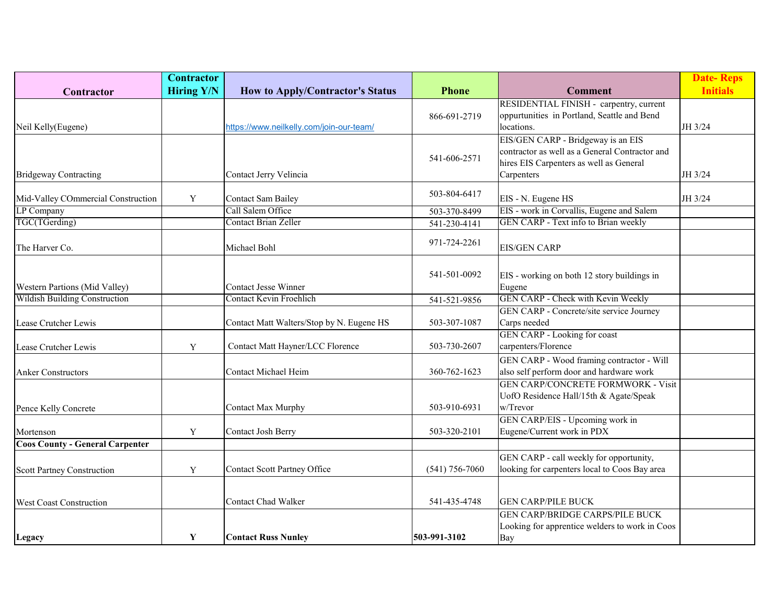|                                        | <b>Contractor</b> |                                           |                    |                                                | <b>Date-Reps</b> |
|----------------------------------------|-------------------|-------------------------------------------|--------------------|------------------------------------------------|------------------|
| Contractor                             | <b>Hiring Y/N</b> | <b>How to Apply/Contractor's Status</b>   | <b>Phone</b>       | <b>Comment</b>                                 | <b>Initials</b>  |
|                                        |                   |                                           |                    | RESIDENTIAL FINISH - carpentry, current        |                  |
|                                        |                   |                                           | 866-691-2719       | oppurtunities in Portland, Seattle and Bend    |                  |
| Neil Kelly(Eugene)                     |                   | https://www.neilkelly.com/join-our-team/  |                    | locations.                                     | JH 3/24          |
|                                        |                   |                                           |                    | EIS/GEN CARP - Bridgeway is an EIS             |                  |
|                                        |                   |                                           | 541-606-2571       | contractor as well as a General Contractor and |                  |
|                                        |                   |                                           |                    | hires EIS Carpenters as well as General        |                  |
| <b>Bridgeway Contracting</b>           |                   | Contact Jerry Velincia                    |                    | Carpenters                                     | JH 3/24          |
| Mid-Valley COmmercial Construction     | Y                 | <b>Contact Sam Bailey</b>                 | 503-804-6417       | EIS - N. Eugene HS                             | JH 3/24          |
| LP Company                             |                   | Call Salem Office                         | 503-370-8499       | EIS - work in Corvallis, Eugene and Salem      |                  |
| TGC(TGerding)                          |                   | <b>Contact Brian Zeller</b>               | 541-230-4141       | GEN CARP - Text info to Brian weekly           |                  |
|                                        |                   |                                           |                    |                                                |                  |
| The Harver Co.                         |                   | Michael Bohl                              | 971-724-2261       | <b>EIS/GEN CARP</b>                            |                  |
|                                        |                   |                                           |                    |                                                |                  |
|                                        |                   |                                           | 541-501-0092       | EIS - working on both 12 story buildings in    |                  |
| Western Partions (Mid Valley)          |                   | <b>Contact Jesse Winner</b>               |                    | Eugene                                         |                  |
| <b>Wildish Building Construction</b>   |                   | <b>Contact Kevin Froehlich</b>            | 541-521-9856       | GEN CARP - Check with Kevin Weekly             |                  |
|                                        |                   |                                           |                    | GEN CARP - Concrete/site service Journey       |                  |
| Lease Crutcher Lewis                   |                   | Contact Matt Walters/Stop by N. Eugene HS | 503-307-1087       | Carps needed                                   |                  |
|                                        |                   |                                           |                    | GEN CARP - Looking for coast                   |                  |
| Lease Crutcher Lewis                   | Y                 | Contact Matt Hayner/LCC Florence          | 503-730-2607       | carpenters/Florence                            |                  |
|                                        |                   |                                           |                    | GEN CARP - Wood framing contractor - Will      |                  |
| <b>Anker Constructors</b>              |                   | Contact Michael Heim                      | 360-762-1623       | also self perform door and hardware work       |                  |
|                                        |                   |                                           |                    | <b>GEN CARP/CONCRETE FORMWORK - Visit</b>      |                  |
|                                        |                   |                                           |                    | UofO Residence Hall/15th & Agate/Speak         |                  |
| Pence Kelly Concrete                   |                   | Contact Max Murphy                        | 503-910-6931       | w/Trevor                                       |                  |
|                                        |                   |                                           |                    | GEN CARP/EIS - Upcoming work in                |                  |
| Mortenson                              | Y                 | <b>Contact Josh Berry</b>                 | 503-320-2101       | Eugene/Current work in PDX                     |                  |
| <b>Coos County - General Carpenter</b> |                   |                                           |                    |                                                |                  |
|                                        |                   |                                           |                    | GEN CARP - call weekly for opportunity,        |                  |
| Scott Partney Construction             | Y                 | <b>Contact Scott Partney Office</b>       | $(541) 756 - 7060$ | looking for carpenters local to Coos Bay area  |                  |
|                                        |                   |                                           |                    |                                                |                  |
| West Coast Construction                |                   | Contact Chad Walker                       | 541-435-4748       | <b>GEN CARP/PILE BUCK</b>                      |                  |
|                                        |                   |                                           |                    | <b>GEN CARP/BRIDGE CARPS/PILE BUCK</b>         |                  |
|                                        |                   |                                           |                    | Looking for apprentice welders to work in Coos |                  |
| Legacy                                 | Y                 | <b>Contact Russ Nunley</b>                | 503-991-3102       | Bay                                            |                  |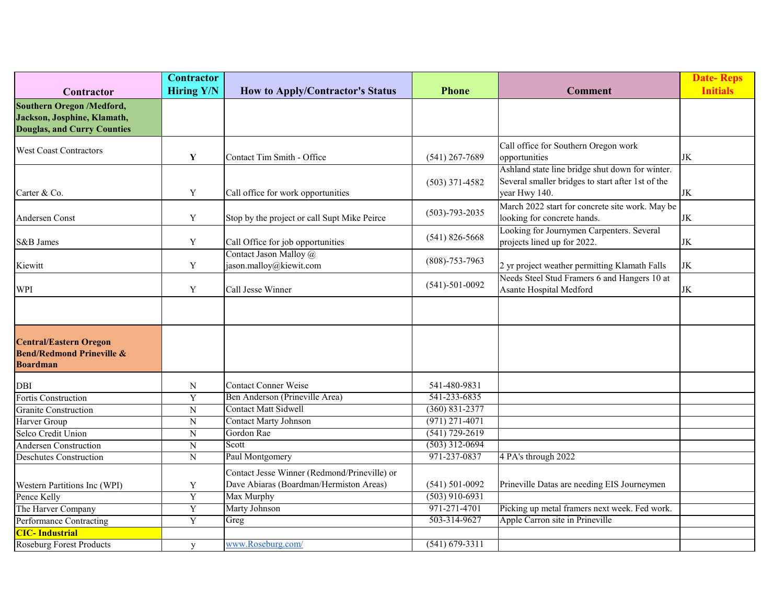|                                                                                                | <b>Contractor</b> |                                                                                         |                      |                                                                                                                       | <b>Date-Reps</b> |
|------------------------------------------------------------------------------------------------|-------------------|-----------------------------------------------------------------------------------------|----------------------|-----------------------------------------------------------------------------------------------------------------------|------------------|
| Contractor                                                                                     | <b>Hiring Y/N</b> | <b>How to Apply/Contractor's Status</b>                                                 | <b>Phone</b>         | <b>Comment</b>                                                                                                        | <b>Initials</b>  |
| Southern Oregon /Medford,<br>Jackson, Josphine, Klamath,<br><b>Douglas, and Curry Counties</b> |                   |                                                                                         |                      |                                                                                                                       |                  |
| <b>West Coast Contractors</b>                                                                  | Y                 | Contact Tim Smith - Office                                                              | $(541)$ 267-7689     | Call office for Southern Oregon work<br>opportunities                                                                 | JK               |
| Carter & Co.                                                                                   | Y                 | Call office for work opportunities                                                      | $(503)$ 371-4582     | Ashland state line bridge shut down for winter.<br>Several smaller bridges to start after 1st of the<br>year Hwy 140. | $\rm JK$         |
| Andersen Const                                                                                 | $\mathbf Y$       | Stop by the project or call Supt Mike Peirce                                            | $(503) - 793 - 2035$ | March 2022 start for concrete site work. May be<br>looking for concrete hands.                                        | $\rm JK$         |
| S&B James                                                                                      | $\mathbf Y$       | Call Office for job opportunities                                                       | $(541) 826 - 5668$   | Looking for Journymen Carpenters. Several<br>projects lined up for 2022.                                              | JK               |
| Kiewitt                                                                                        | $\mathbf Y$       | Contact Jason Malloy @<br>jason.malloy@kiewit.com                                       | $(808) - 753 - 7963$ | 2 yr project weather permitting Klamath Falls                                                                         | JK               |
| WPI                                                                                            | Y                 | Call Jesse Winner                                                                       | $(541) - 501 - 0092$ | Needs Steel Stud Framers 6 and Hangers 10 at<br>Asante Hospital Medford                                               | $\rm JK$         |
|                                                                                                |                   |                                                                                         |                      |                                                                                                                       |                  |
| <b>Central/Eastern Oregon</b><br><b>Bend/Redmond Prineville &amp;</b><br><b>Boardman</b>       |                   |                                                                                         |                      |                                                                                                                       |                  |
| <b>DBI</b>                                                                                     | ${\bf N}$         | <b>Contact Conner Weise</b>                                                             | 541-480-9831         |                                                                                                                       |                  |
| Fortis Construction                                                                            | $\overline{Y}$    | Ben Anderson (Prineville Area)                                                          | 541-233-6835         |                                                                                                                       |                  |
| <b>Granite Construction</b>                                                                    | N                 | <b>Contact Matt Sidwell</b>                                                             | $(360) 831 - 2377$   |                                                                                                                       |                  |
| Harver Group                                                                                   | N                 | <b>Contact Marty Johnson</b>                                                            | $(971)$ 271-4071     |                                                                                                                       |                  |
| Selco Credit Union                                                                             | $\mathbf N$       | Gordon Rae                                                                              | $(541)$ 729-2619     |                                                                                                                       |                  |
| Andersen Construction                                                                          | $\overline{N}$    | Scott                                                                                   | $(503)$ 312-0694     |                                                                                                                       |                  |
| <b>Deschutes Construction</b>                                                                  | $\overline{N}$    | Paul Montgomery                                                                         | 971-237-0837         | 4 PA's through 2022                                                                                                   |                  |
| Western Partitions Inc (WPI)                                                                   | Y                 | Contact Jesse Winner (Redmond/Prineville) or<br>Dave Abiaras (Boardman/Hermiston Areas) | $(541) 501 - 0092$   | Prineville Datas are needing EIS Journeymen                                                                           |                  |
| Pence Kelly                                                                                    | $\overline{Y}$    | Max Murphy                                                                              | $(503)$ 910-6931     |                                                                                                                       |                  |
| The Harver Company                                                                             | Y                 | <b>Marty Johnson</b>                                                                    | 971-271-4701         | Picking up metal framers next week. Fed work.                                                                         |                  |
| Performance Contracting                                                                        | $\overline{Y}$    | Greg                                                                                    | 503-314-9627         | Apple Carron site in Prineville                                                                                       |                  |
| <b>CIC-Industrial</b>                                                                          |                   |                                                                                         |                      |                                                                                                                       |                  |
| <b>Roseburg Forest Products</b>                                                                | y                 | www.Roseburg.com/                                                                       | $(541) 679 - 3311$   |                                                                                                                       |                  |